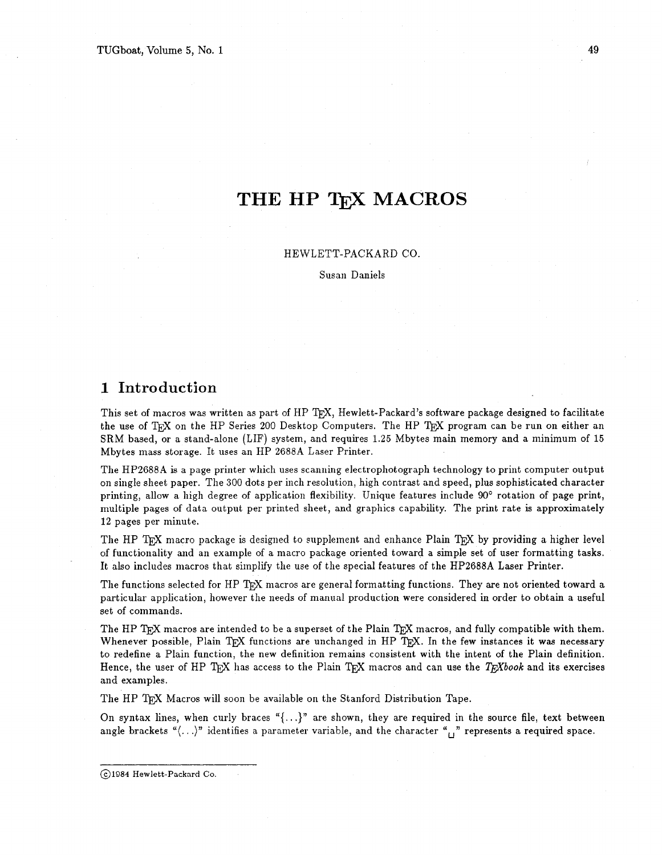# **THE HP TEX MACROS**

#### HEWLETT-PACKARD CO.

Susan Daniels

# **1 Introduction**

This set of macros was written as part of HP T<sub>F</sub>X, Hewlett-Packard's software package designed to facilitate the use of TEX on the HP Series 200 Desktop Computers. The HP TEX program can be run on either an SRM based, or a stand-alone (LIF) system, and requires 1.25 Mbytes main memory and a minimum of 15 Mbytes mass storage. It uses an HP 2688A Laser Printer.

The HP2688A is a page printer which uses scanning electrophotograph technology to print computer output on single sheel paper. The 300 dots per inch resolution, high contrast and speed, plus sophisticated character printing, allow a high degree of application flexibility. Unique features include **90'** rotation of page print, multiple pages of data output per printed sheet, and graphics capability. The print rate is approximately 12 pages per minute.

The HP T<sub>EX</sub> macro package is designed to supplement and enhance Plain T<sub>EX</sub> by providing a higher level of functionality and an example of a macro package oriented toward a simple set of user formatting tasks. It also includes macros that simplify the use of the special features of the HP2688A Laser Printer.

The functions selected for HP TEX macros are general formatting functions. They are not oriented toward a particular application, however the needs of manual production were considered in order to obtain a useful set of commands.

The HP TEX macros are intended to be a superset of the Plain TEX macros, and fully compatible with them. Whenever possible, Plain T<sub>F</sub>X functions are unchanged in HP T<sub>F</sub>X. In the few instances it was necessary to redefine a Plain function, the new definition remains consistent with the intent of the Plain definition. Hence, the user of HP T<sub>EX</sub> has access to the Plain T<sub>E</sub>X macros and can use the *T<sub>E</sub>Xbook* and its exercises and examples.

The HP T<sub>F</sub>X Macros will soon be available on the Stanford Distribution Tape.

On syntax lines, when curly braces " $\{\ldots\}$ " are shown, they are required in the source file, text between angle brackets " $\langle \ldots \rangle$ " identifies a parameter variable, and the character " $\cdots$ " represents a required space.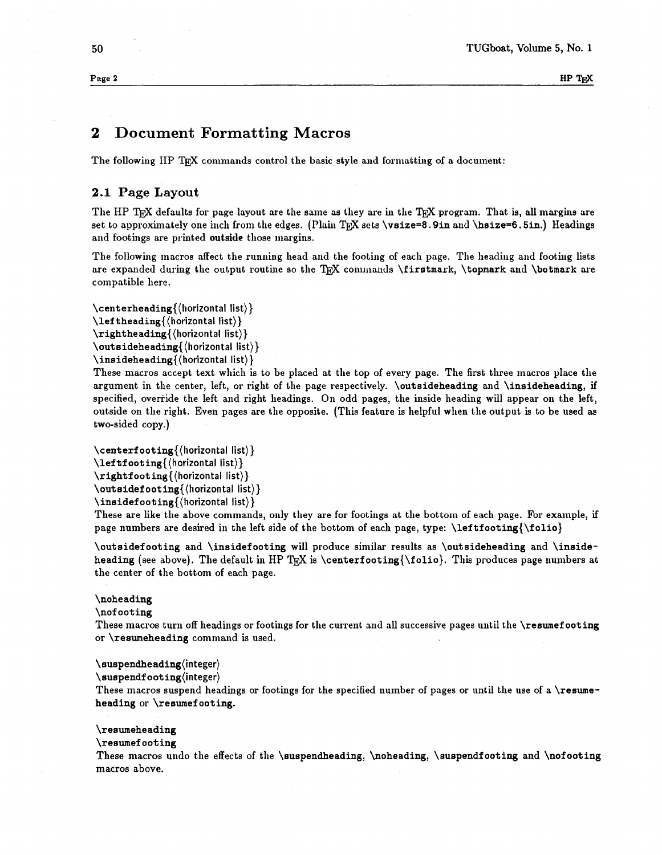**Page 2 HP** W

# **2 Document Formatting Macros**

The following IIP TFX commands control the basic style and formatting of a document:

# **2.1 Page Layout**

The HP T<sub>F</sub>X defaults for page layout are the same as they are in the T<sub>F</sub>X program. That is, all margins are set to approximately one inch from the edges. (Plain T<sub>F</sub>X sets \vsize=8.9in and \hsize=6.5in.) Headings and footings are printed outside those margins.

The following macros affect the running head and the footing of each page. The heading and footing lists are expanded during the output routine so the TFX commands \firstmark, \topmark and \botmark are compatible here.

**\centerheading{(liorizontal** list)) **\leftheading{(horizontal** list)) **\rightheading{(horizontal** list)) **\outsideheading{(horizontaI** list)) **\insideheading{(horizontal** list))

These macros accept text which is to be placed at the top of every page. The first three macros place the argument in the center, left, or right of the page respectively. \outsideheading and \insideheading, if specified, override the left and right headings. On odd pages, the inside heading will appear on the left, outside on the right. Even pages are the opposite. (This feature is helpful when the output is to be used as two-sided copy.)

 $\centrangle$  \centerf ooting { (horizontal list) } \lef tf ooting{(horizontal list))  $\right\{\langle horizontal \; list \rangle\}$ \outsidefooting{(horizontal list)} \insidef ooting{(horizontal list))

These are like the above commands, only they are for footings at the bottom of each page. For example, if page numbers are desired in the left side of the bottom of each page, type: \leftfooting{\folio)

\outsidef ooting and \insidefooting will produce similar results as \outsideheading and \insideheading (see above). The default in HP TRX is \centerf ooting {\folio}. This produces page numbers at the center of the bottom of each page.

# \noheading

\nof ooting

These macros turn off headings or footings for the current and all successive pages until the \reswnef ooting or \resumeheading command is used.

# **\suspendheading(integer)**

\suspendf oot ing(integer)

These macros suspend headings or footings for the specified number of pages or until the use of a \resumeheading or \reswnef ooting.

## \resumeheading

\resumef ooting

These macros undo the effects of the \suspendheading, \noheading, \suspendfooting and \nofooting macros above.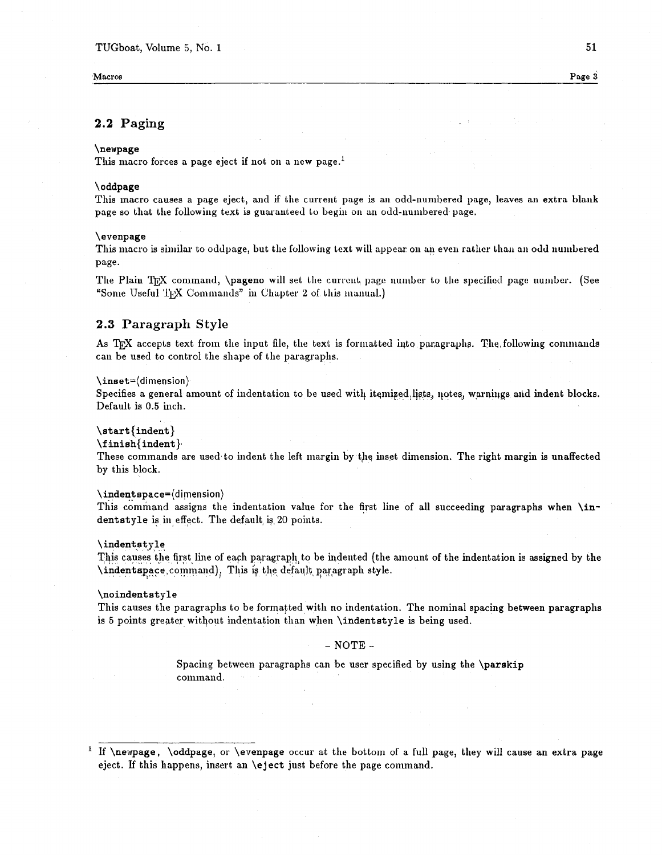**Macros Page 3** 

# **2.2 Paging**

#### \newpage

This macro forces a page eject if not on a new page.<sup>1</sup>

#### \oddpage

This macro causes a page eject, and if the current page is an odd-numbered page, leaves an extra blank page so that the following text is guaranteed to begin on an odd-numbered page.

#### \evenpage

This macro is similar to oddpage, but the following text will appear on an even rather than an odd numbered Page.

The Plain TFX command, \pageno will set the current page number to the specified page number. (See "Some Useful TFX Commands" in Chapter 2 of this manual.)

# **2.3 Paragraph Style**

As TFX accepts text from the input file, the text is formatted into paragraphs. The following commands can be used to control the shape of the paragraplis.

#### \inset=(dimension)

Specifies a general amount of indentation to be used with itemized lists, notes, warnings and indent blocks. Default is 0.5 inch.

#### \start {indent}

#### **\f** inish(indent },

These commands are used to indent the left margin by the inset dimension. The right margin is unaffected by this block.

#### **\indentspace=(dimension)**

This command assigns the indentation value for the first line of all succeeding paragraphs when \indentstyle is in,effect. The default, **ig** 20 points.

#### $\in$

This causes the first line of each paragraph to be indented (the amount of the indentation is assigned by the **\indentspace**,command). This is the default paragraph style.

#### \noindentstyle

This causes the paragraphs to be formatted with no indentation. The nominal spacing between paragraphs is 5 points greater without indentation than when \indentstyle is being used.

# $-$  NOTE  $-$

Spacing between paragraphs can be user specified by using the \parskip command.

<sup>&</sup>lt;sup>1</sup> If \newpage, \oddpage, or \evenpage occur at the bottom of a full page, they will cause an extra page eject. If this happens, insert an \eject just before the page command.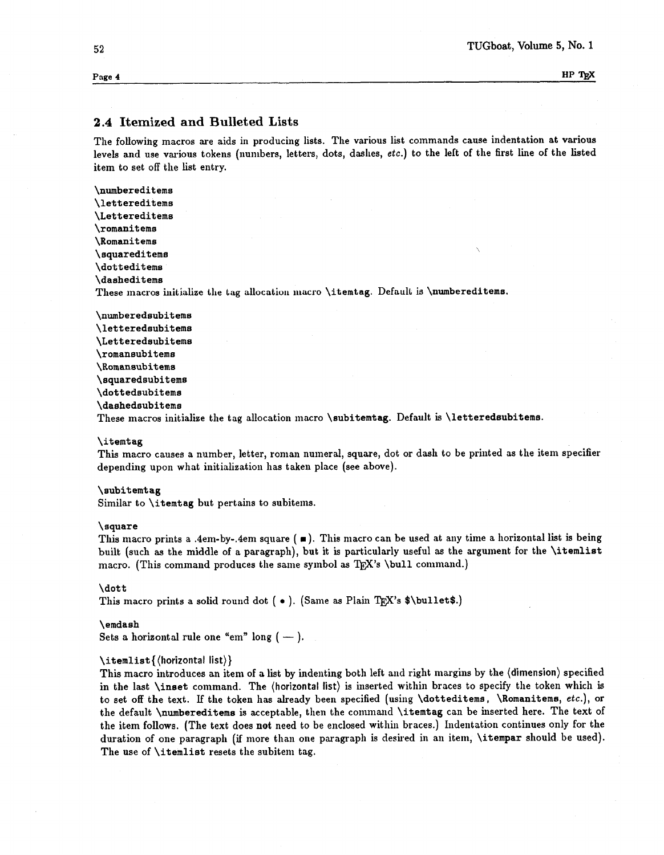HP TEX

# **2.4 Itemized and Bulleted Lists**

The followihg macros are aids in producing lists. The various list commands cause indentation at various levels and use various tokens (numbers, letters, dots, dashes, **etc.)** to the lelt of the first line of the listed item to set off the list entry.

\numbereditems \lettereditems \Lettereditems \romanitems \Romanitems \ squaredit ems \dotteditems \dasheditems These macros initialize the tag allocation macro \itemtag. Default is \numbereditems.

\nunberedsubitems \letteredaubitems \Letteredsubitems \romansubitems \Romansubitems \squaredsubitems \dottedsubitema \dashedsubitems These macros initialize the tag allocation macro \subitemtag. Default is \letteredsubitems.

#### \itemtag

This macro causes a number, letter, roman numeral, square, dot or dash to be printed as the item specifier depending upon what initialization has taken place (see above).

#### \subitemtag

Similar to  $\iota$  temtag but pertains to subitems.

#### \square

This macro prints a .4em-by-.4em square  $( \blacksquare )$ . This macro can be used at any time a horizontal list is being built (such as the middle of a paragraph), but it is particularly useful as the argument for the \itemlist macro. (This command produces the same symbol as T<sub>E</sub>X's \bull command.)

#### \dott

This macro prints a solid round dot (  $\bullet$  ). (Same as Plain T<sub>E</sub>X's \$\bullet\$.)

#### \emdash

Sets a horizontal rule one "em" long  $(-)$ .

#### $\left\{\left(\text{horizontal list}\right)\right\}$

This macro introduces an item of a list by indenting both left and right margins by the (dimension) specified in the last \inset command. The (horizontal list) is inserted within braces to specify the token which is to set off the text. **If** the token has already been specified (using \dotteditema, \Romanitems, **etc.),** or the default \numbereditems is acceptable, then the command \itemtag can be inserted here. The text of the item follows. (The text does not need to be enclosed within braces.) Indentation continues only for the duration of one paragraph (if more than one paragraph is desired in an item,  $\iota$ tempar should be used). The use of  $\tilde{\iota}$  itemlist resets the subitem tag.

Page 4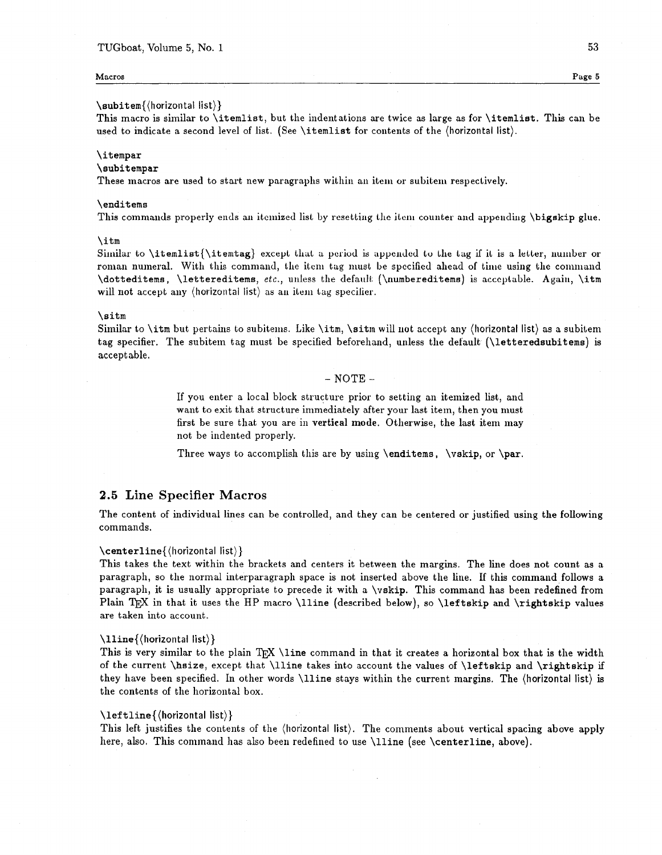#### **Macros Page 5**

# \subitem{(horizontaI list))

This macro is sirnilar to \itemlist, but the indentations are twice **as** large as for \itemlist. This can be used to indicate a second level of list. (See \itemlist for contents of the (horizontal list).

#### \it empar

#### \subitempar

These macros are used to start new paragraphs within an item or subitem respectively.

#### \enditems

This commands properly ends an itemized list by resetting the item counter and appending  $\beta$ igskip glue.

#### \itm

Similar to \itemlist{\itemtag} except that a period is appended to the tag if it is a letter, number or roman numeral. With this command, the item tag must be specified ahead of time using the command  $\dototteditems, \lettereditems, etc., unless the default (<\nnumbereditems) is acceptable. Again, \itm$ will not accept any (horizontal list) as an item tag specifier.

#### \sitm

Similar to \itm but pertains to subitems. Like \itm, \sitm will not accept any (horizontal list) as a subitem tag specifier. The subitem tag must be specified beforehand, unless the default (\letteredsubitems) is accept able.

#### $-$  NOTE  $-$

If you enter a local block structure prior to setting an itemized list, and want to exit that structure immediately after your last item, then you must first be sure that you are in **vertical mode**. Otherwise, the last item may not be indented properly.

Three ways to accomplish this are by using  $\end{times}$ ,  $\vskip.06cm\text{vskip}$ , or  $\parcript{\text{par}.$ 

# **2.5 Line Specifier Macros**

The content of individual lines can be controlled, and they can be centered or justified using the following commands.

#### \centerline{(horizontal list))

This takes the text within the brackets and centers it between the margins. The line does not count as a paragraph, so the normal interparagraph space is not inserted above the line. If this command follows a paragraph, it is usually appropriate to precede it with a  $\varepsilon$ . This command has been redefined from Plain T<sub>R</sub>X in that it uses the HP macro \lline (described below), so \leftskip and \rightskip values are taken into account.

#### \lline{(horizontal list))

This is very similar to the plain  $T_{FX}$  \line command in that it creates a horizontal box that is the width of the current \hsize, except that \lline takes into account the values of \leftskip and \rightskip if they have been specified. In other words \lline stays within the current margins. The (horizontal list) is the contents of the horizontal box.

#### \leftline{(horizontal list))

This left justifies the contents of the (horizontal list). The comments about vertical spacing above apply here, also. This command has also been redefined to use \lline (see \centerline, above).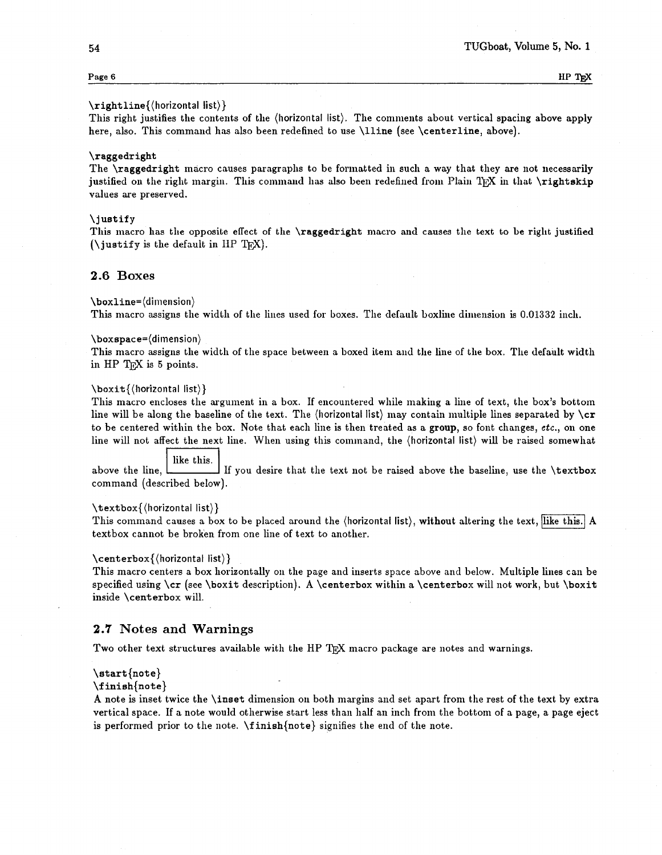# **Page 6 HP T<sub>E</sub>X**

#### $\triangleright$ **rightline**{ $\langle$ horizontal list $\rangle$ }

This right justifies the contents of the (horizontal list). The comments about vertical spacing above apply here, also. This command has also been redefined to use \lline (see \centerline, above).

#### \raggedright

The  $\ra{regedright}$  macro causes paragraphs to be formatted in such a way that they are not necessarily justified on the right margin. This command has also been redefined from Plain TFX in that  $\right\tau$  is the state values are preserved.

#### \justify

This macro has the opposite effect of the \raggedright macro and causes the text to be right justified (\justify is the default in IIP **TEXJ.** 

#### **2.6 Boxes**

\boxline=(dimension)

This macro assigns the width of the lines used for boxes. The default boxline dimension is 0.01332 inch.

#### \boxspace=(dimension)

This macro assigns the width of the space between a boxed item and the line of the box. The default width in HP  $Tr X$  is 5 points.

### \boxit{(horizontal list))

This macro encloses the argument in a box. If encountered while making a line of text, the box's bottom line will be along the baseline of the text. The (horizontal list) may contain multiple lines separated by  $\c{rr}$ to be centered within the box. Note that each line is then treated as a group, so font changes, etc., on one Noximum e- (unressions)<br>
(boxxime dimension)<br>
(boxxime dimension)<br>
(boxxime dimension)<br>
This macro assigns the width of the space between a boxed item and the line of the box. The default width<br>
in HP T<sub>E</sub>X is 5 points.<br>

like this. above the line, If you desire that the text not be raised above the baseline, use the  $\text{textbox}$ command (described below).

# \textbox{\horizontal list}}<br>m:

This command causes a box to be placed around the (horizontal list), without altering the text, like this. A textbox cannot be broken from one line of text to another.

#### \centerbox{(horizontal list))

This macro centers a box horizontally on the page and inserts space above and below. Multiple lines can be specified using  $\cr$  (see \boxit description). A \centerbox within a \centerbox will not work, but \boxit inside \cent erbox will.

# **2.7 Notes and Warnings**

Two other text structures available with the HP TFX macro package are notes and warnings.

#### \start{note)

**\f** inish{note)

A note is inset twice the \inset dimension on both margins and set apart from the rest of the text by extra vertical space. If a note would otherwise start less than half an inch from the bottom of a page, a page eject is performed prior to the note. **\f** inish{note) signifies the end of the note.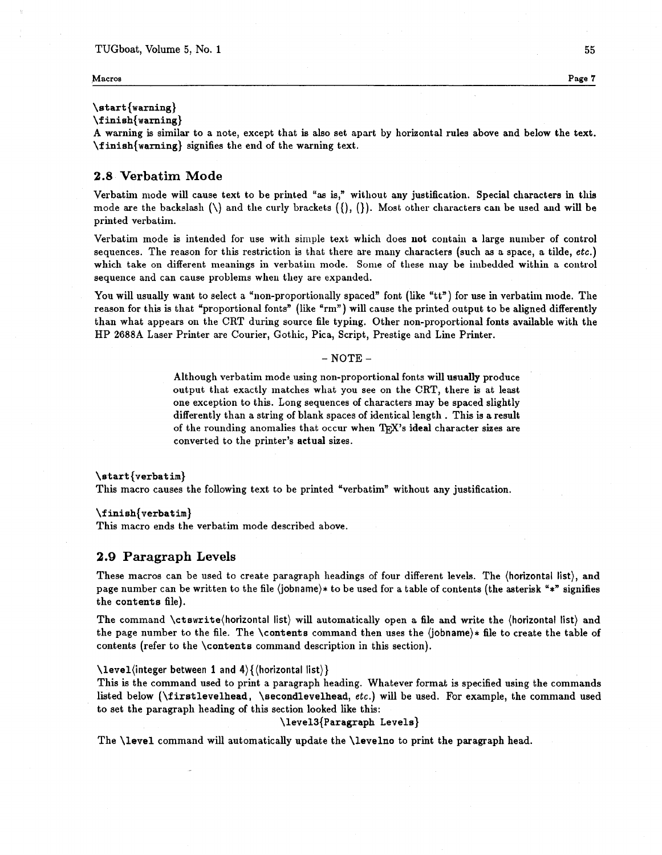#### **Macroa Page 7**

### $\text{start}$ {warning}

\f inish{warning)

A warning is similar to a note, except that is also set apart by horizontal rules above and below the text. \f inish{warning) signifies the end of the warning text.

# **2.8 Verbatim Mode**

Verbatim mode will cause text to be printed "as is," without any justification. Special characters in this mode are the backslash  $(\cdot)$  and the curly brackets  $(\cdot)$ ,  $(\cdot)$ . Most other characters can be used and will be printed verbatim.

Verbatim mode is intended for use with simple text which does *not* contain a large nunlber of control sequences. The reason for this restriction is that there are many characters (such as a space, a tilde, etc.) which take on different meanings in verbatim mode. Some of these may be imbedded within a control sequence and can cause problems when they are expanded.

You will usually want to select a "non-proportionally spaced" font (like "tt") for use in verbatim mode. The reason for this is that "proportional fonts" (like "rm") will cause the printed output to be aligned differently than what appears on the CRT during source file typing. Other non-proportional fonts available with the HP 2688A Laser Printer are Courier, Gothic, Pica, Script, Prestige and Line Printer.

#### - **NOTE** -

Although verbatim mode using non-proportional fonts will usually produce output that exactly matches what you see on the CRT, there is at least one exception to this. Long sequences of characters may be spaced slightly differently than a string of blank spaces of identical length . This is a result of the rounding anomalies that occur when TFX's ideal character sizes are converted to the printer's actual sizes.

#### \start (verbatim)

This macro causes the following text to be printed "verbatim" without any justification.

#### \f inish{verbat im)

This macro ends the verbatim mode described above.

## **2.9 Paragraph Levels**

These macros can be used to create paragraph headings of four different levels. The (horizontal list), and page number can be written to the file (jobname)\* to be used for a table of contents (the asterisk "\*" signifies the contents file).

The command \ctswrite(horizontal list) will automatically open a file and write the (horizontal list) and the page number to the file. The \contents command then uses the  $(jobname)*$  file to create the table of contents (refer to the \contents command description in this section).

#### \level(integer between **1** and 4){(horizontal list))

This is the command used to print a paragraph heading. Whatever format is specified using the commands listed below ( $\mathcal{I}$ irst levelhead,  $\mathcal{I}$  secondlevelhead, etc.) will be used. For example, the command used to set the paragraph heading of this section looked like this:

#### \level3{Paragraph Levels)

The \level command will automatically update the \levelno to print the paragraph head.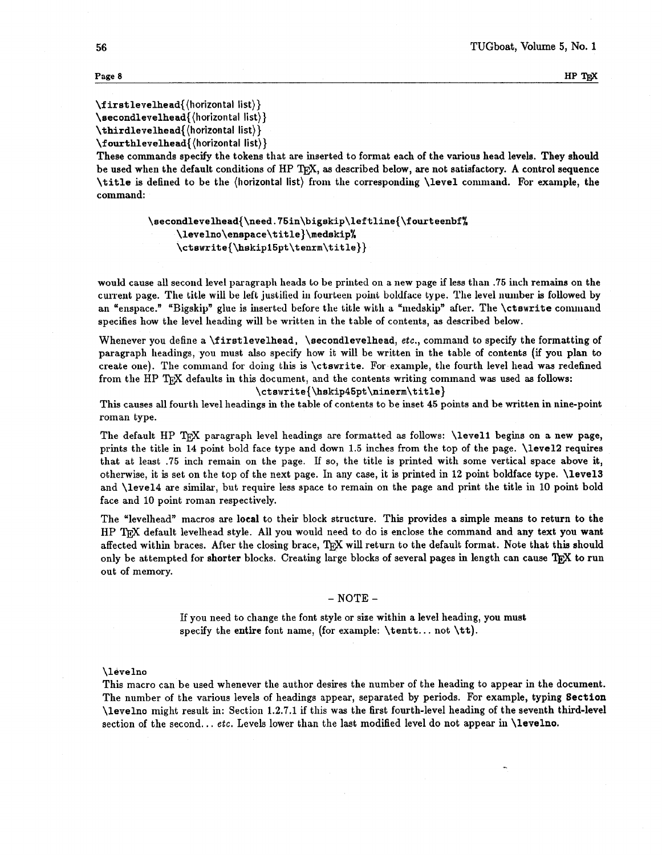**Page 8 HP 1<sup>b</sup><sub>E</sub>X** 

**\f irstlevelhead{(horizontal** list)) **\secondlevelhead{(horizontal** list)) **\thirdlevelhead{(horizontal list))** 

\f **ourthlevelhead{(horizontal** list))

These commands specify the tokens that are inserted to format each of the various head levels. They should be used when the default conditions of HP T<sub>F</sub>X, as described below, are not satisfactory. A control sequence \title is defined to be the (horizontal list) from the correspondiug \level command. For example, the command:

> \secondlevelhead{\need.75in\bigskip\leftline{\fourteenbf} \levelno\enspace\title}\medskip% \ctswrite{\hskip15pt\tenrm\title}}

would cause all second level paragraph heads lo be printed on a new page if less than **.75** inch remains on the current page. The title will be left justified in fourteen point boldface type. The level number is followed by an "enspace." "Bigskip" glue is inserted before the title with a "medskip" after. The \ctswrite command specifies how the level heading will be written in the table of contents, **as** described below.

Whenever you define a \firstlevelhead, \secondlevelhead, etc., command to specify the formatting of paragraph headings, you must also specify how it will be written in the table of contents (if you plan to create one). The command for doing this is \ctswrite. For example, the fourth level head was redefined from the HP TEX defaults in this document, and the contents writing command was used as follows:

**\ctswrite{\hskip4Spt\ninerm\t** itle}

This causes all fourth level headings in the table of contents to be inset **45** points and be written in nine-point roman type.

The default HP TFX paragraph level headings are formatted as follows: \level1 begins on a new page, prints the title in 14 point bold face type and down **1.5** inches from the top of the page. \level2 requires that at least **.75** inch remain on the page. If so, the title is printed with some vertical space above it, otherwise, it is set on the top of the next page. In any case, it is printed in 12 point boldface type. \level3 and \level4 are similar, but require less space to remain on the page and print the title in **10** point bold face and 10 point roman respectively.

The "levelhead" macros are local to their block structure. This provides a simple means to return to the HP T<sub>FX</sub> default levelhead style. All you would need to do is enclose the command and any text you want affected within braces. After the closing brace, TRX will return to the default format. Note that this should only be attempted for shorter blocks. Creating large blocks of several pages in length can cause TpX to run out of memory.

#### $-$  NOTE  $-$

If you need to change the font style or size within a level heading, you must specify the entire font name, (for example:  $\tent...$  not  $\tt \tt)$ .

#### \levelno

This macro can be used whenever the author desires the number of the heading to appear in the document. The number of the various levels of headings appear, separated by periods. For example, typing Section \levelno might result in: Section **1.2.7.1** if this was the first fourth-level heading of the seventh third-level section of the second... etc. Levels lower than the last modified level do not appear in  $\lambda$  evelno.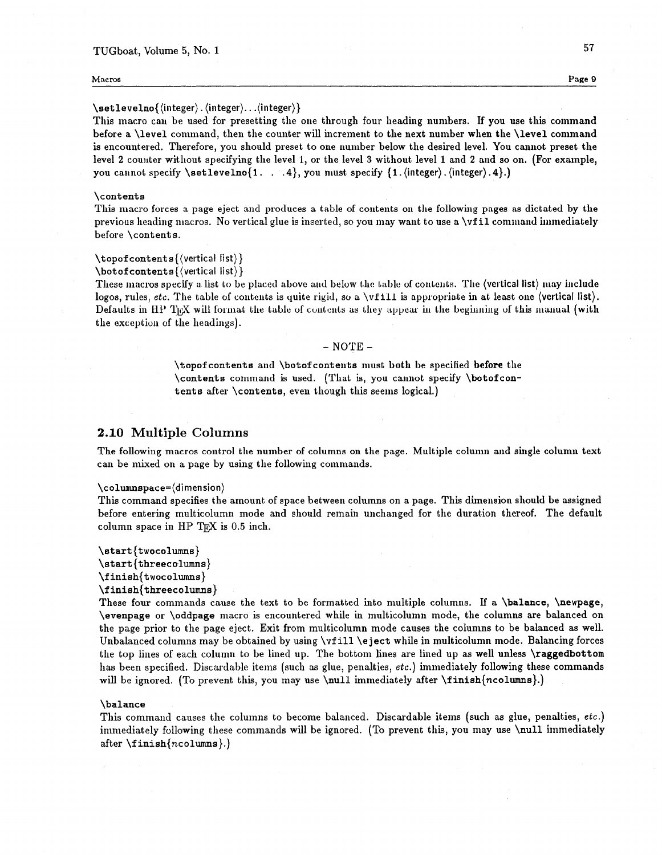#### **Macros Page 9**

#### \setlevelno{(integer) . (integer). . .(integer))

This macro can be used for presetting the one through four heading numbers. If you use this command before a \level connnand, then the counter will increment to the next number when the \level command is encountered. Therefore, you should preset to one number below the desired level. You cannot preset the level 2 counter without specifying the level 1, or the level 3 without level 1 and 2 and so on. (For example, you cannot specify \setlevelno{1. . . 4}, you must specify {1. (integer). (integer). 4}.)

#### \contents

This macro forces a page eject and produces a table of contents on the following pages as dictated by the previous heading macros. No vertical glue is inserted, so you may want to use a **\vfil command immediately** before \contents.

#### $\to$  \topof contents { (vertical list) }

 $\boldsymbol{\lambda}$  \botof contents { (vertical list) }

These macros specify a list to be placed above and below the table of contents. The (vertical list) may include logos, rules, etc. The table of contents is quite rigid, so a \vfill is appropriate in at least one (vertical list). Defaults in HP T<sub>IEX</sub> will format the table of contents as they appear in the beginning of this manual (with the exception of the headings).

#### - NOTE -

\topof contents and \botof contents must **both** be specified **before** the \contents command is used. (That is, you cannot specify \botofcontents after \contents, even though this seems logical.)

# **2.10 Multiple Columns**

The following macros control the number of columns on the page. Multiple column and single column text can be mixed on a page by using the following commands.

#### **\columnspace=(dimension)**

This command specifies the amount of space between columns on a page. This dimension should be assigned before entering multicolumn mode and should remain unchanged for the duration thereof. The default column space in HP T $\overline{K}X$  is 0.5 inch.

```
\start {twocolumns) 
\start {threecolumns)
```

```
\f inish{twocolumns)
```
**\f** inish{threecolumns) These four commands cause the text to be formatted into multiple columns. If a \balance, \newpage, \evenpage or \oddpage macro is encountered while in multicolumn mode, the columns are balanced on the page prior to the page eject. Exit from multicolumn mode causes the columns to be balanced as well. Unbalanced columns may be obtained by using \vfill \eject while in multicolumn mode. Balancing forces the top lines of each column to be lined up. The bottom lines are lined up as well unless \raggedbottom has been specified. Discardable items (such as glue, penalties, etc.) immediately following these commands will be ignored. (To prevent this, you may use  $\n\ell$  immediately after  $\finish\{ncolumns\}$ .)

#### \balance

This command causes the columns to become balanced. Discardable items (such as glue, penalties, etc.) immediately following these commands will be ignored. (To prevent this, you may use \null immediately after **\f** inish{ncolumns).)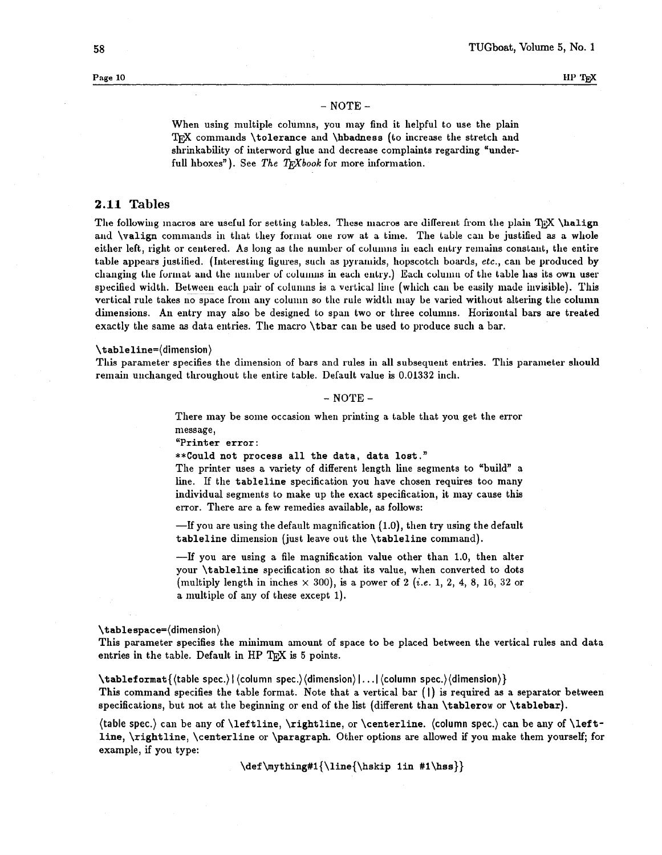### - NOTE -

When using multiple columns, you may find it helpful to use the plain TEX commands \tolerance and \hbadness (to increase the stretch and shrinkability of interword glue and decrease complaints regarding "underfull hboxes"). See The TEXbook for more information.

# **2.11 Tables**

The following macros are useful for setting tables. These macros are different from the plain  $TrX \hat{H}$ and **\valign** commands in that they format one row at a time. The table can be justified as a whole either left, right or centered. As long as the number of columns in each entry remains constant, the entire table appears justified. (Interesting figures, such as pyramids, hopscotch boards, etc., can be produced by changing the format and the number of columns in each entry.) Each column of the table has its own user specified width. Between each pair of columns is a vertical line (which can be easily made invisible). This vertical rule takes no space from any column so the rule width may be varied without altering the column dimensions. An entry may also be designed to span two or three columns. Horizontal bars are treated exactly the same as data entries. The macro \tbar can be used to produce such a bar.

#### \tableline=(dimension)

This parameter specifies the dimension of bars and rules in all subsequent entries. This parameter should remain unchanged throughout the entire table. Default value is 0.01332 inch.

 $-$  NOTE  $-$ 

There may be some occasion when printing a table that you get the error message,

"Printer error :

\*\*Could not process all the data, data lost."

The printer uses a variety of different length line segments to "build" a line. If the tableline specification you have chosen requires too many individual segments to make up the exact specification, it may cause this error. There are a few remedies available, as follows:

 $\text{I}$  you are using the default magnification (1.0), then try using the default tableline dimension (just leave out the \tableline command).

-If you are using a file magnification value other than 1.0, then alter your \tableline specification so that its value, when converted to dots (multiply length in inches **x** 300), is a power of 2 **(i.e.** 1, 2, 4, 8, 16, 32 or a multiple of any of these except 1).

#### \tablespace=(dimension)

This parameter specifies the minimum amount of space to be placed between the vertical rules and data entries in the table. Default in HP  $T_{\overline{p}}X$  is 5 points.

\tablef ormat((tab1e spec.) I (column spec.)(dimension) I. . .I (column spec.)(dimension))

This command specifies the table format. Note that a vertical bar (I) is required as a separator between specifications, but not at the beginning or end of the list (different than \tablerow or \tablebar).

(table spec.) can be any of  $\left| \right|$ ,  $\right|$  is altertine, or  $\centerdot$  column spec.) can be any of  $\left| \right|$ . line, \rightline, \centerline or \paragraph. Other options are allowed if you make them yourself; for example, if you type:

 $\def \mything#1{\line{\hspace{0.1cm} \hspace{0.1cm} \hspace{0.1cm} \hspace{0.1cm} \hspace{0.1cm} \hspace{0.1cm} }$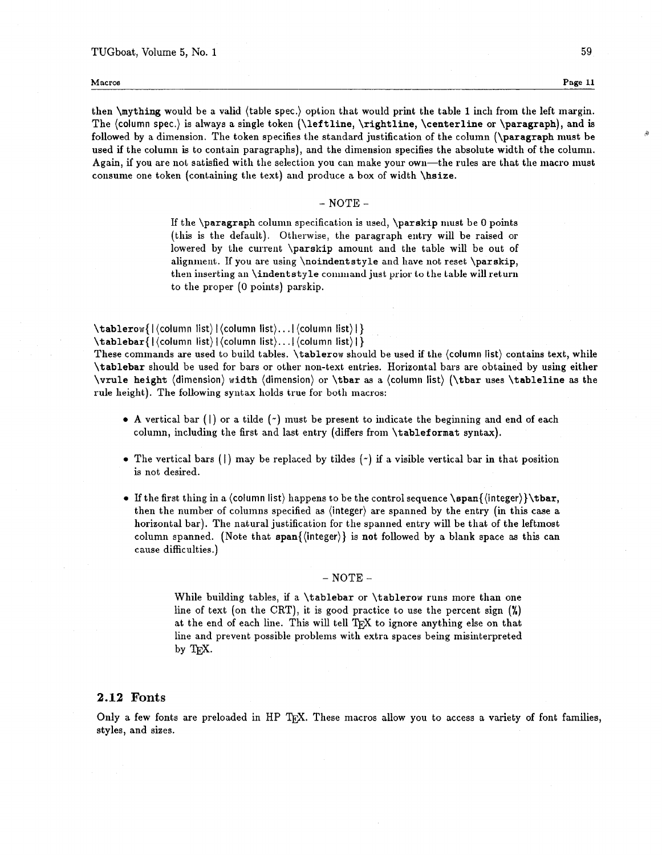4

then \mything would be a valid (table spec.) option that would print the table 1 inch from the left margin. The (column spec.) is always a single token (\leftline, \rightline, \centerline or \paragraph), and is followed by a dimension. The token specifies the standard justification of the column (\paragraph must be used if the column is to contain paragraphs), and the dimension specifies the absolute width of the column. Again, if you are not satisfied with the selection you can make your own—the rules are that the macro must consume one token (containing the text) and produce a box of width \hsize.

# $-$  NOTE  $-$

If the \paragraph column specificalion is used, \parskip must be **0** points (this is the default). Otherwise, the paragraph entiy will be raised or lowered by the current \parskip amount and the table will be out of alignment. **If** you are using \noindentstyle and have not resel \parskip, then inserting an \indentstyle command just prior to the table will return to the proper (0 points) parskip.

\tablerow{|(column list)|(column list)...|(column list)|}

 $\mathbf{label}[$ 

These commands are used to build tables. \tablerow should be used if the (column list) contains text, while \tablebar should be used for bars or other non-text entries. Horizontal bars are obtained by using either \vrule height (dimension) width (dimension) or \tbar as a (column list) (\tbar uses \tableline as the rule height). The following syntax holds true for both macros:

- $\bullet$  A vertical bar ( $\vert$ ) or a tilde ( $\prime$ ) must be present to indicate the beginning and end of each column, including the first and last entry (differs from \tableformat syntax).
- The vertical bars (|) may be replaced by tildes  $(\gamma)$  if a visible vertical bar in that position is not desired.
- If the first thing in a (column list) happens to be the control sequence  $\span{\langle \text{integer}\rangle}$ then the number of columns specified as (integer) are spanned by the entry (in this case a horizontal bar). The natural justification for the spanned entry will be that of the leftmost column spanned. (Note that span{(integer)) is **not** followed by a blank space as this can cause difficulties.)

#### $-$  NOTE  $-$

While building tables, if a \tablebar or \tablerow runs more than one line of text (on the CRT), it is good practice to use the percent sign **(X)**  at the end of each line. This will tell TFX to ignore anything else on that line and prevent possible problems with extra spaces being misinterpreted by TEX.

# **2.12 Fonts**

Only a few fonts are preloaded in HP TFX. These macros allow you to access a variety of font families, styles, and sizes.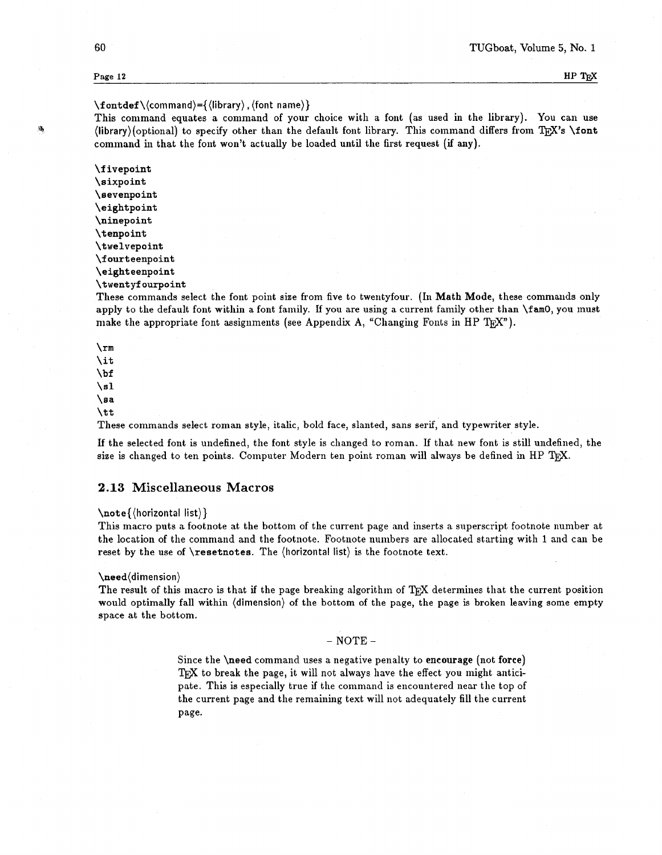# $\forall$  fontdef  $\langle$  (command) = { $\langle$  (library),  $\langle$  font name)}

This command equates a command of your choice with a font (as used in the library). You can use **A** (library)(optional) to specify other than the default font library. This command differs from T<sub>F</sub>X's \font command in that the font won't actually be loaded until the first request (if any).

> **\f** ivepoint \sixpoint \sevenpoint \eightpoint \ninepoint \t enpoint \twelvepoint \fourteenpoint \eighteenpoint \twentyf ourpoint

These commands select the font point size from five to twentyfour. (In Math Mode, these commands only apply to the default font within a font family. If you are using a current family other than \famO, you must make the appropriate font assignments (see Appendix A, "Changing Fonts in HP T<sub>EX</sub>").

\rm \it \bf **\sl**   $\lambda$ sa \tt

These commands select roman style, italic, bold face, slanted, sans serif, and typewriter style.

If the selected font is undefined, the font style is changed to roman. If that new font is still undefined, the size is changed to ten points. Computer Modern ten point roman will always be defined in HP TRX.

### **2.13 Miscellaneous Macros**

#### $\n\cdot\$  (horizontal list)

This macro puts a footnote at the bottom of the current page and inserts a superscript footnote number at the location of the command and the footnote. Footnote numbers are allocated starting with 1 and can be reset by the use of **\resetnotes**. The *(horizontal list)* is the footnote text.

#### \need(dimension)

The result of this macro is that if the page breaking algorithm of TEX determines that the current position would optimally fall within (dimension) of the bottom of the page, the page is broken leaving some empty space at the bottom.

 $-$  NOTE  $-$ 

Since the \need command uses a negative penalty to **encourage** (not **force)**  TEX to break the page, it will not always have the effect you might anticipate. This is especially true if the command is encountered near the top of the current page and the remaining text will not adequately fill the current page.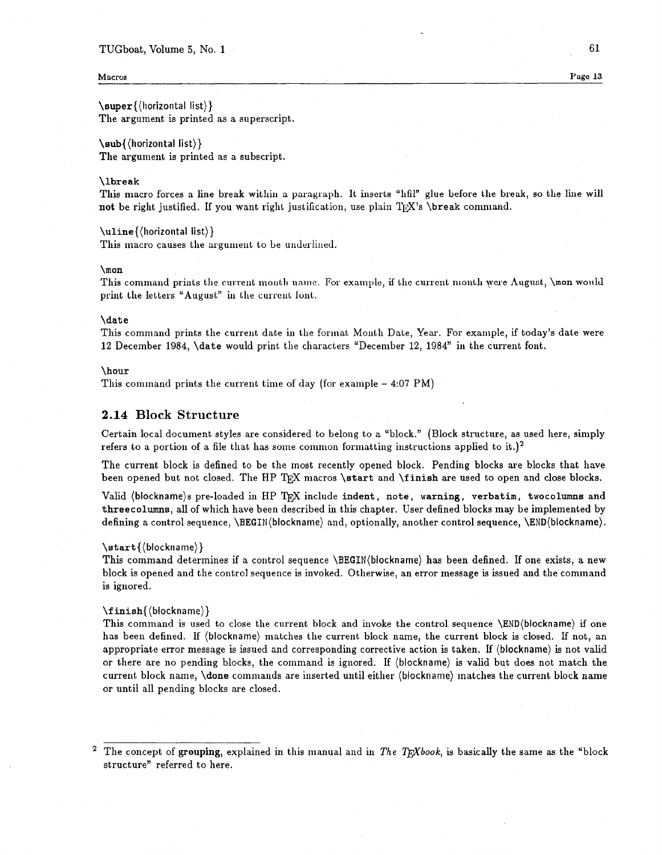#### TUGboat, Volume 5, No. 1

#### **Macros Page 13**

\super{(liorizontal list)) The argument is printed as a superscript.

\sub{(horizontal list)) The argument is printed as a subscript.

#### \lbreak

This macro forces a line break within a paragraph. It inserts "hfil" glue before the break, so the line will **not** be right justified. If you want right justification, use plain  $T\mathbb{R}X$ 's \break command.

\uline{(horizontal list)} This macro causes the argument to be underlined.

#### \mon

This command prints the current month name. For example, if the current month were August, **\mon** would print the letters "August" in the current font.

#### \date

This command prints the current date in the format Month Date, Year. For example, if today's date were 12 December 1984, \date would print the characters 'December 12, 1984" in the current font.

#### \hour

This command prints the current time of day (for example - 4:07 PM)

# **2.14 Block Structure**

Certain local document styles are considered to belong to a "block." (Block structure, as used here, simply refers to a portion of a file that has some common formatting instructions applied to it.)<sup>2</sup>

The current block is defined to be the most recently opened block. Pending blocks are blocks that have been opened but not closed. The HP TEX macros \start and \finish are used to open and close blocks.

Valid (blockname)s pre-loaded in HP TRX include indent, note, warning, verbatim, twocolumns and threecolumns, all of which have been described in this chapter. User defined blocks may be implemented by defining a control sequence, \BEGIN(blockname) and, optionally, another control sequence, \END(blockname).

#### \start {(blockname))

This command determines if a control sequence \BEGIN(blockname) has been defined. If one exists, a new block is opened and the control sequence is invoked. Otherwise, an error message is issued and the command is ignored.

#### **\f** inish{(blockname))

This command is used to close the current block and invoke the control sequence \END(blockname) if one has been defined. If (blockname) matches the current block name, the current block is closed. If not, an appropriate error message is issued and corresponding corrective action is taken. If (blockname) is not valid or there are no pending blocks, the command is ignored. If (blockname) is valid but does not match the current block name, \done commands are inserted until either (blockname) matches the current block name or until all pending blocks are closed.

<sup>&</sup>lt;sup>2</sup> The concept of **grouping**, explained in this manual and in The T<sub>E</sub>Xbook, is basically the same as the "block" structure" referred to here.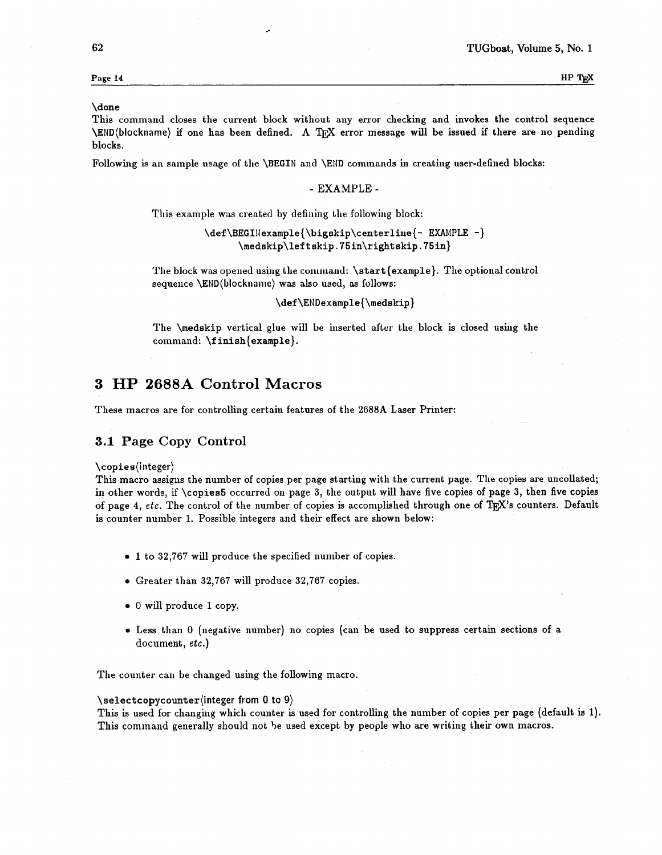# **Page 14 HP Tg**

#### \done

This command closes the current block without any error checking and invokes the control sequence \END(blockname) if one has been defined. A TEX error message will be issued if there are no pending blocks.

Followhg is an sample usage of the \BEGIN and \END cominands in creating user-defined blocks:

#### - EXAMPLE -

This example was created by defining the following block:

\def\BEGINexample{\bigskip\centerline{- EXAMPLE -} \medskip\lef tskip. 75in\rightskip. 75in)

The block was opened using the command:  $\star$   $\star$   $\star$   $\star$   $\star$   $\star$   $\star$ . The optional control sequence \END(blockname) was also used, as follows:

**\def** \ENDexample{\medskip)

The \medskip vertical glue will be iuserted after the block is closed using the command:  $\{ \$ inish $\{ \}$ .

# **3 HP 2688A Control Macros**

These macros are for controlling certain features of the 2688A Laser Printer:

# **3.1 Page Copy Control**

\copies(integer)

This macro assigns the number of copies per page starting with the current page. The copies are uncollated; in other words, if \copies5 occurred on page 3, the output will have five copies of page 3, then five copies of page 4, etc. The control of the number of copies is accomplished through one of TFX's counters. Default is counter number 1. Possible integers and their effect are shown below:

- **<sup>0</sup>**1 to 32,767 will produce the specified number of copies.
- Greater than 32,767 will produce 32,767 copies.
- <sup>0</sup>will produce 1 copy.
- Less than 0 (negative number) no copies (can be used to suppress certain sections of a document, etc.)

The counter can be changed using the following macro.

#### **\selectcopycounter(integer** from 0 to 9)

This is used for changing which counter is used for controlling the number of copies per page (default is 1). This command generally should not be used except by people who are writing their own macros.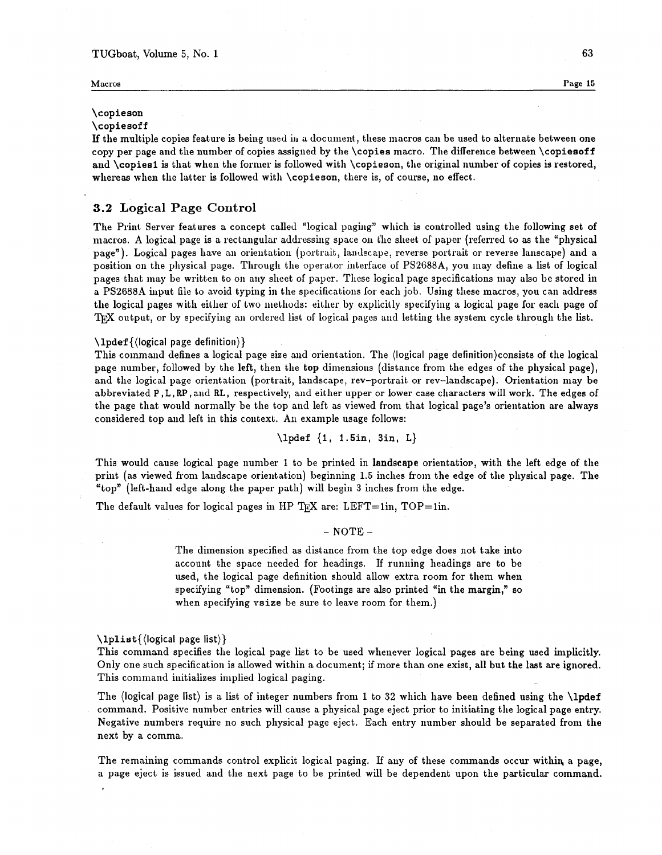# TUGboat, Volume 5, No. 1 **63 63**

# \copieson

# \copiesoff

If the multiple copies feature is being used in a document, these macros can be used to alternate between one copy per page and the number of copies assigned by the \copies macro. The difference between \copiesoff and \copies1 is that when the former is followed with \copieson, the original number of copies is restored, whereas when the latter is followed with  $\c{opieson}$ , there is, of course, no effect.

# **3.2 Logical Page Control**

The Print Server features a concept called "logical paging" which is controlled using the following set of macros. A logical page is a rectangular addressing space on the slieet of paper (referred to as the "physical page"). Logical pages have an orientation (portrait, landscape, reverse portrait or reverse lanscape) and a position on the physical page. Through the operator interface of PS2688A, you may define a list of logical pages that may be written to on any sheet of paper. These logical page specifications may also be stored in a PS2688A input file to avoid typing in the specifications for each job. Using these macros, you can address the logical pages with either of two methods: either by explicitly specifying a logical page for each page of TRX output, or by specifying an ordered list of logical pages and letting the system cycle through the list.

#### $\langle$ lpdef { $\langle$ logical page definition}}

This command defines a logical page size and orientation. The (logical page definition)consists of the logical page number, followed by the left, then the top dimensions (distance from the edges of the physical page), and the logical page orientation (portrait, landscape, rev-portrait or rev-landscape). Orientation may be abbreviated P , L, RP , and RL, respectively, and either upper or lower case cllaracters will work. The edges of the page that would normally be the top and left as viewed from that logical page's orientation are always considered top and left in this context. An example usage follows:

\lpdef {1, 1.5in, 3in, L}

This would cause logical page number 1 to be printed in landscape orientation, with the left edge of the print (as viewed from landscape orientation) beginning 1.5 inches from the edge of the physical page. The "top" (left-hand edge along the paper path) will begin 3 inches from the edge.

The default values for logical pages in HP TpX are: LEFT=1in, TOP=1in.

 $-$  NOTE  $-$ 

The dimension specified as distance from the top edge does not take into account the space needed for headings. If running headings are to be used, the logical page definition should allow extra room for them **when**  specifying "top" dimension. (Footings are also printed "in the margin," so when specifying vsize be sure to leave room for them.)

\lplist{(logical page list))

This command specifies the logical page list to be used whenever logical pages are being used implicitly. Only one such specification is allowed within a document; if more than one exist, all but the last are ignored. This command initializes implied logical paging.

The (logical page list) is a list of integer numbers from 1 to **32** which have been defined using the \lpdef command. Positive number entries will cause a physical page eject prior to initiating the logical page entry. Negative numbers require no such physical page eject. Each entry number should be separated from the next by a comma.

The remainiug commands control explicit logical paging. **Lf** any of these commands occur withiq a page, a page eject is issued and the next page to be printed will be dependent upon the particular command.

**Macros Page 15**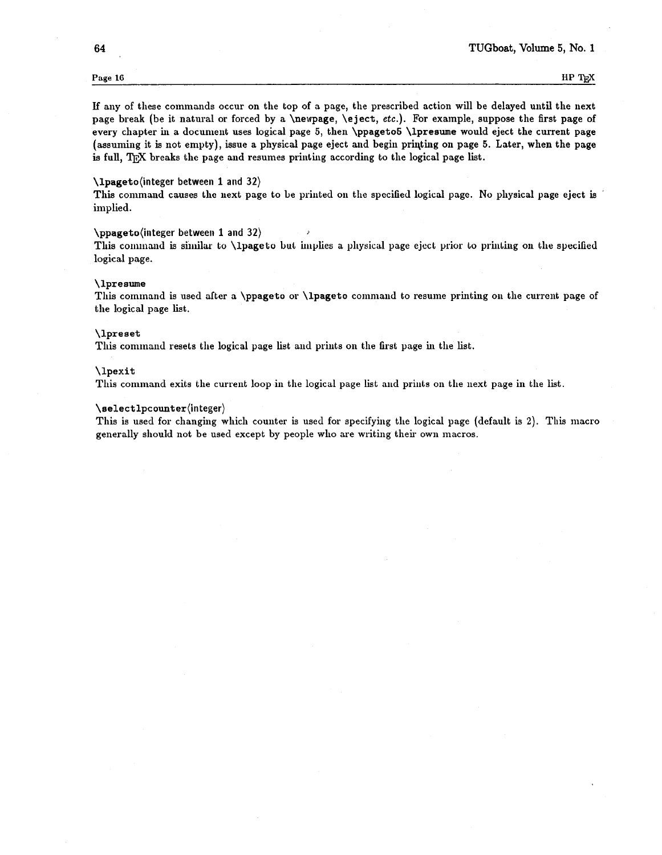If any of these commands occur on the top of a page, the prescribed action will be delayed until the next page break (be it natural or forced by a \newpage, \eject, etc.). For example, suppose the first page of every chapter in a document uses logical page 5, then \ppageto5 \lpresume would eject the current page (assuming it is not empty), issue a physical page eject and begin priqting on page 5. Later, when the page is full, TFX breaks the page and resumes printing according to the logical page list.

#### \lpageto(integer between 1 and 32)

This command causes the next page to be printed on the specified logical page. No physical page eject is implied.

#### \ppageto(integer between 1 and 32)

This command is similar to **\lpageto** but implies a physical page eject prior to printing on the specified logical page.

#### \ lpresume

This command is used after a \ppageto or \lpageto command to resume printing on the current page of the logical page list.

#### \lpreset

This command resets the logical page list and prints on the first page in the list.

#### \lpexit

This command exits the current loop in the logical page list and prints on the next page in the list.

#### $\setminus$ selectlpcounter(integer)

This is used for changing which counter is used for specifying the logical page (default is 2). This macro generally should not be used except by people who are writing their own macros.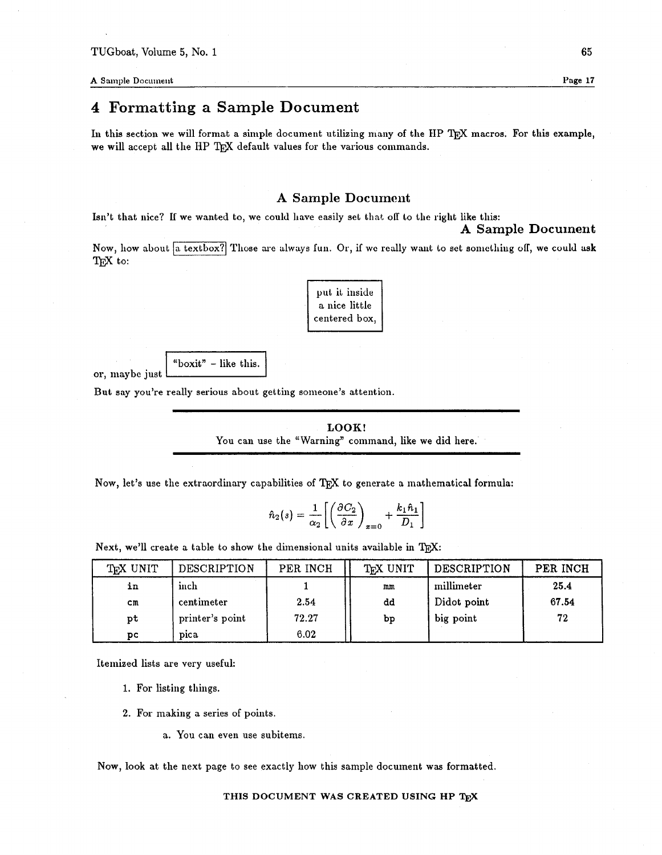**A** Sample Document **Page 17** Page 17

or, maybe just

# **4 Formatting a Sample Document**

In this section we will format a simple document utilizing many of the HP T<sub>E</sub>X macros. For this example, we will accept all the HP T<sub>E</sub>X default values for the various commands.

# **A Sample Document**

Isn't that nice? If we wanted to, we could have easily set that off to the right like this:

Now, how about a textbox? Those are always fun. Or, if we really want to set something off, we could ask TEX to:

| put it inside |  |  |  |  |  |
|---------------|--|--|--|--|--|
| a nice little |  |  |  |  |  |
| centered box, |  |  |  |  |  |

"boxit" - like this.

But say you're really serious about getting someone's attention.

**LOOK!**  You can use the "Warning" command, like we did here.

Now, let's use the extraordinary capabilities of TFX to generate a mathematical formula:

$$
\hat{n}_2(s) = \frac{1}{\alpha_2} \left[ \left( \frac{\partial C_2}{\partial x} \right)_{x=0} + \frac{k_1 \hat{n}_1}{D_1} \right]
$$

| Next, we'll create a table to show the dimensional units available in TFX: |                 |          |          |                    |          |  |
|----------------------------------------------------------------------------|-----------------|----------|----------|--------------------|----------|--|
| T <sub>F</sub> X UNIT                                                      | DESCRIPTION     | PER INCH | TFX UNIT | <b>DESCRIPTION</b> | PER INCH |  |
| in                                                                         | inch            |          | mm       | millimeter         | 25.4     |  |
| cm                                                                         | centimeter      | 2.54     | dd       | Didot point        | 67.54    |  |
| pt                                                                         | printer's point | 72.27    | bp       | big point          | 72       |  |
| DС                                                                         | pica            | 6.02     |          |                    |          |  |

Itemized lists are very useful:

1. For listing things.

**2.** For making a series of points.

a. You can even use subitems.

Now, look at the next page to see exactly how this sample document **was** formatted.

**A Sample Document**